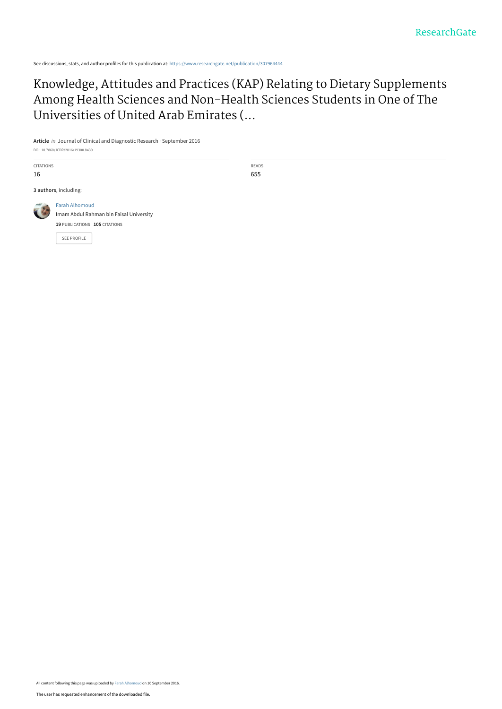See discussions, stats, and author profiles for this publication at: [https://www.researchgate.net/publication/307964444](https://www.researchgate.net/publication/307964444_Knowledge_Attitudes_and_Practices_KAP_Relating_to_Dietary_Supplements_Among_Health_Sciences_and_Non-Health_Sciences_Students_in_One_of_The_Universities_of_United_Arab_Emirates_UAE?enrichId=rgreq-7065353953dd6d860d85e99fad21acb0-XXX&enrichSource=Y292ZXJQYWdlOzMwNzk2NDQ0NDtBUzo0MDQ2ODMxNTY5MzQ2NTZAMTQ3MzQ5NTM5MTc5Mg%3D%3D&el=1_x_2&_esc=publicationCoverPdf)

[Knowledge, Attitudes and Practices \(KAP\) Relating to Dietary Supplements](https://www.researchgate.net/publication/307964444_Knowledge_Attitudes_and_Practices_KAP_Relating_to_Dietary_Supplements_Among_Health_Sciences_and_Non-Health_Sciences_Students_in_One_of_The_Universities_of_United_Arab_Emirates_UAE?enrichId=rgreq-7065353953dd6d860d85e99fad21acb0-XXX&enrichSource=Y292ZXJQYWdlOzMwNzk2NDQ0NDtBUzo0MDQ2ODMxNTY5MzQ2NTZAMTQ3MzQ5NTM5MTc5Mg%3D%3D&el=1_x_3&_esc=publicationCoverPdf) Among Health Sciences and Non-Health Sciences Students in One of The Universities of United Arab Emirates (...

**Article** in Journal of Clinical and Diagnostic Research · September 2016 DOI: 10.7860/JCDR/2016/19300.8439

CITATIONS 16

**3 authors**, including:



[Farah Alhomoud](https://www.researchgate.net/profile/Farah_Alhomoud?enrichId=rgreq-7065353953dd6d860d85e99fad21acb0-XXX&enrichSource=Y292ZXJQYWdlOzMwNzk2NDQ0NDtBUzo0MDQ2ODMxNTY5MzQ2NTZAMTQ3MzQ5NTM5MTc5Mg%3D%3D&el=1_x_5&_esc=publicationCoverPdf) [Imam Abdul Rahman bin Faisal University](https://www.researchgate.net/institution/Imam_Abdul_Rahman_bin_Faisal_University?enrichId=rgreq-7065353953dd6d860d85e99fad21acb0-XXX&enrichSource=Y292ZXJQYWdlOzMwNzk2NDQ0NDtBUzo0MDQ2ODMxNTY5MzQ2NTZAMTQ3MzQ5NTM5MTc5Mg%3D%3D&el=1_x_6&_esc=publicationCoverPdf) **19** PUBLICATIONS **105** CITATIONS

[SEE PROFILE](https://www.researchgate.net/profile/Farah_Alhomoud?enrichId=rgreq-7065353953dd6d860d85e99fad21acb0-XXX&enrichSource=Y292ZXJQYWdlOzMwNzk2NDQ0NDtBUzo0MDQ2ODMxNTY5MzQ2NTZAMTQ3MzQ5NTM5MTc5Mg%3D%3D&el=1_x_7&_esc=publicationCoverPdf)

READS 655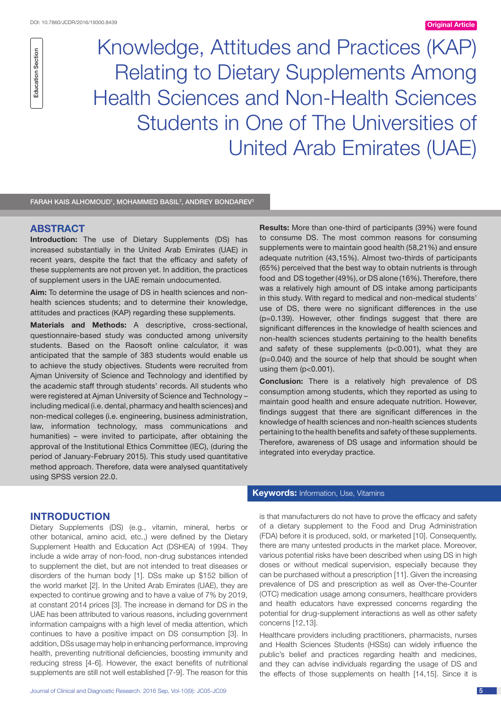Education Section

**Education Section** 

Knowledge, Attitudes and Practices (Kap) Relating to Dietary Supplements Among Health Sciences and Non-Health Sciences Students in One of The Universities of United Arab Emirates (UAE)

FARAH KAIS ALHOMOUD<sup>1</sup>, MOHAMMED BASIL<sup>2</sup>, ANDREY BONDAREV<sup>3</sup>

# **ABSTRACT**

**Introduction:** The use of Dietary Supplements (DS) has increased substantially in the United Arab Emirates (UAE) in recent years, despite the fact that the efficacy and safety of these supplements are not proven yet. In addition, the practices of supplement users in the UAE remain undocumented.

**Aim:** To determine the usage of DS in health sciences and nonhealth sciences students; and to determine their knowledge, attitudes and practices (KAP) regarding these supplements.

**Materials and Methods:** A descriptive, cross-sectional, questionnaire-based study was conducted among university students. Based on the Raosoft online calculator, it was anticipated that the sample of 383 students would enable us to achieve the study objectives. Students were recruited from Ajman University of Science and Technology and identified by the academic staff through students' records. All students who were registered at Ajman University of Science and Technology – including medical (i.e. dental, pharmacy and health sciences) and non-medical colleges (i.e. engineering, business administration, law, information technology, mass communications and humanities) – were invited to participate, after obtaining the approval of the Institutional Ethics Committee (IEC), (during the period of January-February 2015). This study used quantitative method approach. Therefore, data were analysed quantitatively using SPSS version 22.0.

**Results:** More than one-third of participants (39%) were found to consume DS. The most common reasons for consuming supplements were to maintain good health (58,21%) and ensure adequate nutrition (43,15%). Almost two-thirds of participants (65%) perceived that the best way to obtain nutrients is through food and DS together (49%), or DS alone (16%). Therefore, there was a relatively high amount of DS intake among participants in this study. With regard to medical and non-medical students' use of DS, there were no significant differences in the use (p=0.139). However, other findings suggest that there are significant differences in the knowledge of health sciences and non-health sciences students pertaining to the health benefits and safety of these supplements (p<0.001), what they are (p=0.040) and the source of help that should be sought when using them (p<0.001).

**Conclusion:** There is a relatively high prevalence of DS consumption among students, which they reported as using to maintain good health and ensure adequate nutrition. However, findings suggest that there are significant differences in the knowledge of health sciences and non-health sciences students pertaining to the health benefits and safety of these supplements. Therefore, awareness of DS usage and information should be integrated into everyday practice.

## **Introduction**

Dietary Supplements (DS) (e.g., vitamin, mineral, herbs or other botanical, amino acid, etc.,) were defined by the Dietary Supplement Health and Education Act (DSHEA) of 1994. They include a wide array of non-food, non-drug substances intended to supplement the diet, but are not intended to treat diseases or disorders of the human body [1]. DSs make up \$152 billion of the world market [2]. In the United Arab Emirates (UAE), they are expected to continue growing and to have a value of 7% by 2019, at constant 2014 prices [3]. The increase in demand for DS in the UAE has been attributed to various reasons, including government information campaigns with a high level of media attention, which continues to have a positive impact on DS consumption [3]. In addition, DSs usage may help in enhancing performance, improving health, preventing nutritional deficiencies, boosting immunity and reducing stress [4-6]. However, the exact benefits of nutritional supplements are still not well established [7-9]. The reason for this

## **Keywords:** Information, Use, Vitamins

is that manufacturers do not have to prove the efficacy and safety of a dietary supplement to the Food and Drug Administration (FDA) before it is produced, sold, or marketed [10]. Consequently, there are many untested products in the market place. Moreover, various potential risks have been described when using DS in high doses or without medical supervision, especially because they can be purchased without a prescription [11]. Given the increasing prevalence of DS and prescription as well as Over-the-Counter (OTC) medication usage among consumers, healthcare providers and health educators have expressed concerns regarding the potential for drug-supplement interactions as well as other safety concerns [12,13].

Healthcare providers including practitioners, pharmacists, nurses and Health Sciences Students (HSSs) can widely influence the public's belief and practices regarding health and medicines, and they can advise individuals regarding the usage of DS and the effects of those supplements on health [14,15]. Since it is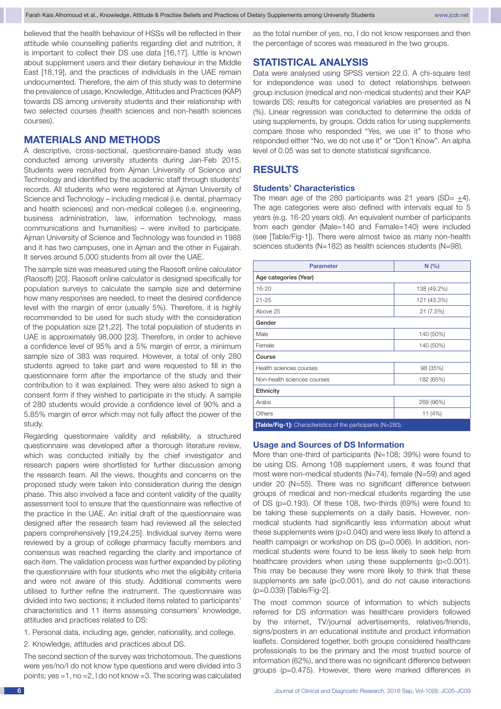believed that the health behaviour of HSSs will be reflected in their attitude while counselling patients regarding diet and nutrition, it is important to collect their DS use data [16,17]. Little is known about supplement users and their dietary behaviour in the Middle East [18,19], and the practices of individuals in the UAE remain undocumented. Therefore, the aim of this study was to determine the prevalence of usage, Knowledge, Attitudes and Practices (KAP) towards DS among university students and their relationship with two selected courses (health sciences and non-health sciences courses).

# **Materials and Methods**

A descriptive, cross-sectional, questionnaire-based study was conducted among university students during Jan-Feb 2015. Students were recruited from Ajman University of Science and Technology and identified by the academic staff through students' records. All students who were registered at Ajman University of Science and Technology – including medical (i.e. dental, pharmacy and health sciences) and non-medical colleges (i.e. engineering, business administration, law, information technology, mass communications and humanities) – were invited to participate. Ajman University of Science and Technology was founded in 1988 and it has two campuses, one in Ajman and the other in Fujairah. It serves around 5,000 students from all over the UAE.

The sample size was measured using the Raosoft online calculator (Raosoft) [20]. Raosoft online calculator is designed specifically for population surveys to calculate the sample size and determine how many responses are needed, to meet the desired confidence level with the margin of error (usually 5%). Therefore, it is highly recommended to be used for such study with the consideration of the population size [21,22]. The total population of students in UAE is approximately 98,000 [23]. Therefore, in order to achieve a confidence level of 95% and a 5% margin of error, a minimum sample size of 383 was required. However, a total of only 280 students agreed to take part and were requested to fill in the questionnaire form after the importance of the study and their contribution to it was explained. They were also asked to sign a consent form if they wished to participate in the study. A sample of 280 students would provide a confidence level of 90% and a 5.85% margin of error which may not fully affect the power of the study.

Regarding questionnaire validity and reliability, a structured questionnaire was developed after a thorough literature review, which was conducted initially by the chief investigator and research papers were shortlisted for further discussion among the research team. All the views, thoughts and concerns on the proposed study were taken into consideration during the design phase. This also involved a face and content validity of the quality assessment tool to ensure that the questionnaire was reflective of the practice in the UAE. An initial draft of the questionnaire was designed after the research team had reviewed all the selected papers comprehensively [19,24,25]. Individual survey items were reviewed by a group of college pharmacy faculty members and consensus was reached regarding the clarity and importance of each item. The validation process was further expanded by piloting the questionnaire with four students who met the eligibility criteria and were not aware of this study. Additional comments were utilised to further refine the instrument. The questionnaire was divided into two sections; it included items related to participants' characteristics and 11 items assessing consumers' knowledge, attitudes and practices related to DS:

1. Personal data, including age, gender, nationality, and college.

2. Knowledge, attitudes and practices about DS.

The second section of the survey was trichotomous. The questions were yes/no/I do not know type questions and were divided into 3 points; yes =1, no =2, I do not know =3. The scoring was calculated as the total number of yes, no, I do not know responses and then the percentage of scores was measured in the two groups.

# **Statistical Analysis**

Data were analysed using SPSS version 22.0. A chi-square test for independence was used to detect relationships between group inclusion (medical and non-medical students) and their KAP towards DS; results for categorical variables are presented as N (%). Linear regression was conducted to determine the odds of using supplements, by groups. Odds ratios for using supplements compare those who responded "Yes, we use it" to those who responded either "No, we do not use it" or "Don't Know". An alpha level of 0.05 was set to denote statistical significance.

# **Results**

#### **Students' Characteristics**

The mean age of the 280 participants was 21 years (SD=  $\pm$ 4). The age categories were also defined with intervals equal to 5 years (e.g. 16-20 years old). An equivalent number of participants from each gender (Male=140 and Female=140) were included (see [Table/Fig-1]). There were almost twice as many non-health sciences students (N=182) as health sciences students (N=98).

| <b>Parameter</b>                                                   | N(%         |  |  |  |
|--------------------------------------------------------------------|-------------|--|--|--|
| Age categories (Year)                                              |             |  |  |  |
| 16-20                                                              | 138 (49.2%) |  |  |  |
| $21 - 25$                                                          | 121 (43.3%) |  |  |  |
| Above 25                                                           | 21 (7.5%)   |  |  |  |
| Gender                                                             |             |  |  |  |
| Male                                                               | 140 (50%)   |  |  |  |
| Female                                                             | 140 (50%)   |  |  |  |
| Course                                                             |             |  |  |  |
| Health sciences courses                                            | 98 (35%)    |  |  |  |
| Non-health sciences courses                                        | 182 (65%)   |  |  |  |
| Ethnicity                                                          |             |  |  |  |
| Arabs                                                              | 269 (96%)   |  |  |  |
| Others                                                             | 11 (4%)     |  |  |  |
| <b>[Table/Fig-1]:</b> Characteristics of the participants (N=280). |             |  |  |  |

### **Usage and Sources of DS Information**

More than one-third of participants (N=108; 39%) were found to be using DS. Among 108 supplement users, it was found that most were non-medical students (N=74), female (N=59) and aged under 20 (N=55). There was no significant difference between groups of medical and non-medical students regarding the use of DS (p=0.193). Of these 108, two-thirds (69%) were found to be taking these supplements on a daily basis. However, nonmedical students had significantly less information about what these supplements were (p=0.040) and were less likely to attend a health campaign or workshop on DS (p=0.006). In addition, nonmedical students were found to be less likely to seek help from healthcare providers when using these supplements (p<0.001). This may be because they were more likely to think that these supplements are safe (p<0.001), and do not cause interactions (p=0.039) [Table/Fig-2].

The most common source of information to which subjects referred for DS information was healthcare providers followed by the internet, TV/journal advertisements, relatives/friends, signs/posters in an educational institute and product information leaflets. Considered together, both groups considered healthcare professionals to be the primary and the most trusted source of information (62%), and there was no significant difference between groups (p=0.475). However, there were marked differences in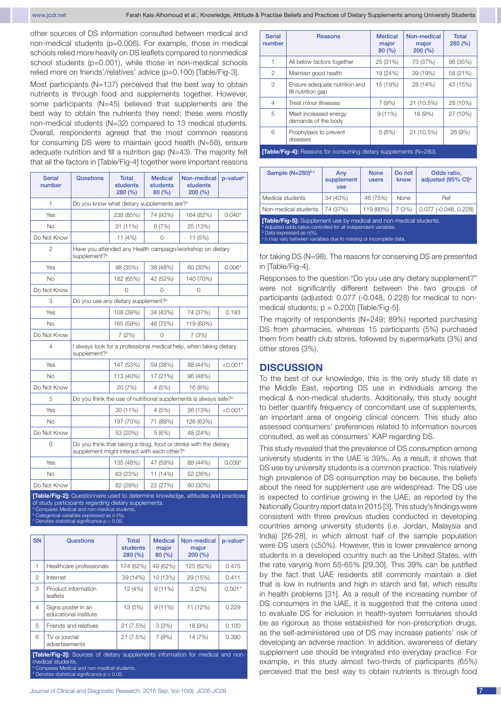other sources of DS information consulted between medical and non-medical students (p=0.006). For example, those in medical schools relied more heavily on DS leaflets compared to nonmedical school students (p=0.001), while those in non-medical schools relied more on friends'/relatives' advice (p=0.100) [Table/Fig-3].

Most participants (N=137) perceived that the best way to obtain nutrients is through food and supplements together. However, some participants (N=45) believed that supplements are the best way to obtain the nutrients they need; these were mostly non-medical students (N=32) compared to 13 medical students. Overall, respondents agreed that the most common reasons for consuming DS were to maintain good health (N=58), ensure adequate nutrition and fill a nutrition gap (N=43). The majority felt that all the factors in [Table/Fig-4] together were important reasons

| <b>Serial</b><br>number | <b>Questions</b>                                                                                                            | <b>Total</b><br>students<br>280 (%)             | <b>Medical</b><br>students<br>80 (%) | Non-medical<br>students<br>200 (%)                                           | p-value <sup>a</sup> |
|-------------------------|-----------------------------------------------------------------------------------------------------------------------------|-------------------------------------------------|--------------------------------------|------------------------------------------------------------------------------|----------------------|
| 1                       | Do you know what dietary supplements are? <sup>b</sup>                                                                      |                                                 |                                      |                                                                              |                      |
| Yes                     |                                                                                                                             | 238 (85%)<br>74 (93%)                           |                                      | 164 (82%)                                                                    | $0.040*$             |
| <b>No</b>               |                                                                                                                             | 31 (11%)                                        | 6(7%)                                | 25 (13%)                                                                     |                      |
| Do Not Know             |                                                                                                                             | 11 (4%)                                         | $\Omega$                             | 11 (5%)                                                                      |                      |
| $\overline{2}$          | Have you attended any Health campaign/workshop on dietary<br>supplement? <sup>b</sup>                                       |                                                 |                                      |                                                                              |                      |
| Yes                     |                                                                                                                             | 98 (35%)                                        | 38 (48%)                             | 60 (30%)                                                                     | $0.006*$             |
| No                      |                                                                                                                             | 182 (65%)                                       | 42 (52%)                             | 140 (70%)                                                                    |                      |
| Do Not Know             |                                                                                                                             | $\Omega$                                        | 0                                    | 0                                                                            |                      |
| 3                       |                                                                                                                             | Do you use any dietary supplement? <sup>b</sup> |                                      |                                                                              |                      |
| Yes                     |                                                                                                                             | 108 (39%)                                       | 34 (43%)                             | 74 (37%)                                                                     | 0.193                |
| No.                     |                                                                                                                             | 165 (59%)                                       | 46 (75%)                             | 119 (60%)                                                                    |                      |
| Do Not Know             |                                                                                                                             | 7(2%)                                           | $\Omega$                             | 7 (3%)                                                                       |                      |
| 4                       | I always look for a professional medical help, when taking dietary<br>supplement? <sup>b</sup>                              |                                                 |                                      |                                                                              |                      |
| Yes                     |                                                                                                                             | 147 (53%)                                       | 59 (38%)                             |                                                                              | $< 0.001*$           |
| <b>No</b>               |                                                                                                                             | 113 (40%)                                       | 17 (21%)                             | 96 (48%)                                                                     |                      |
| Do Not Know             |                                                                                                                             | 20 (7%)                                         | 4(5%)                                | 16 (8%)                                                                      |                      |
| 5                       |                                                                                                                             |                                                 |                                      | Do you think the use of nutritional supplements is always safe? <sup>b</sup> |                      |
| Yes                     |                                                                                                                             | 30 (11%)                                        | 4(5%)                                | 26 (13%)                                                                     | $< 0.001*$           |
| <b>No</b>               | 197 (70%)<br>71 (89%)                                                                                                       |                                                 |                                      | 126 (63%)                                                                    |                      |
| Do Not Know             |                                                                                                                             | 53 (20%)                                        | 5(6%)                                | 48 (24%)                                                                     |                      |
| 6                       | Do you think that taking a drug, food or drinks with the dietary<br>supplement might interact with each other? <sup>b</sup> |                                                 |                                      |                                                                              |                      |
| Yes                     |                                                                                                                             | 135 (48%)                                       | 47 (59%)                             | 88 (44%)                                                                     | $0.039*$             |
| <b>No</b>               |                                                                                                                             | 63 (23%)<br>11 (14%)<br>52 (26%)                |                                      |                                                                              |                      |
| Do Not Know             | 60 (30%)<br>82 (29%)<br>22 (27%)                                                                                            |                                                 |                                      |                                                                              |                      |

**[Table/Fig-2]:** Questionnaire used to determine knowledge, attitudes and practices of study participants regarding dietary supplements.

<sup>a</sup> Compares Medical and non-medical students.<br><sup>b</sup> Categorical variables expressed as n (%).

es statistical significance p  $<$  0.05

| <b>SN</b>                                                                                                  | Questions                                   | <b>Total</b><br>students<br>280(%) | <b>Medical</b><br>major<br>80(%) | Non-medical<br>major<br>200(%) | p-value <sup>a</sup> |
|------------------------------------------------------------------------------------------------------------|---------------------------------------------|------------------------------------|----------------------------------|--------------------------------|----------------------|
| 1                                                                                                          | Healthcare professionals                    | 174 (62%)                          | 49 (62%)                         | 125 (62%)                      | 0.475                |
| $\mathfrak{p}$                                                                                             | Internet                                    | 39 (14%)                           | 10 (13%)                         | 29 (15%)                       | 0.411                |
| 3                                                                                                          | Product information<br>leaflets             | 12 (4%)                            | $9(11\%)$                        | 3(2%)                          | $0.001*$             |
| $\overline{4}$                                                                                             | Signs poster in an<br>educational institute | 13 (5%)                            | $9(11\%)$                        | 11 (12%)                       | 0.229                |
| 5                                                                                                          | Friends and relatives                       | 21 (7.5%)                          | 3(3%)                            | 18 (9%)                        | 0.100                |
| 6                                                                                                          | TV or journal<br>advertisements             | 21 (7.5%)                          | 7(9%)                            | 14 (7%)                        | 0.390                |
| <b>[Table/Fig-3]:</b> Sources of dietary supplements information for medical and non-<br>medical students. |                                             |                                    |                                  |                                |                      |

s Medical and non-medical students tes statistical significance  $p < 0.05$ 

a

| <b>Serial</b><br>number                                                                                                                              | <b>Reasons</b>                                      | <b>Medical</b><br>major<br>80(%) | Non-medical<br>major<br>200(%) | <b>Total</b><br>280(%) |
|------------------------------------------------------------------------------------------------------------------------------------------------------|-----------------------------------------------------|----------------------------------|--------------------------------|------------------------|
| 1                                                                                                                                                    | All below factors together                          | 25 (31%)                         | 73 (37%)                       | 98 (35%)               |
| $\overline{2}$                                                                                                                                       | Maintain good health                                | 19 (24%)                         | 39 (19%)                       | 58 (21%)               |
| 3                                                                                                                                                    | Ensure adequate nutrition and<br>fill nutrition gap | 15 (19%)                         | 28 (14%)                       | 43 (15%)               |
| $\overline{4}$                                                                                                                                       | Treat minor illnesses                               | 7(9%)                            | 21 (10.5%)                     | 28 (10%)               |
| 5                                                                                                                                                    | Meet increased energy<br>demands of the body        | 9(11%)                           | 18 (9%)                        | 27 (10%)               |
| 6                                                                                                                                                    | Prophylaxis to prevent<br>diseases                  | 5(6%)                            | 21 (10.5%)                     | 26 (9%)                |
| $\mathbf{F}$ to be a $\mathbf{F}$ to a $\mathbf{A}$ . The second form construction of the second second and a $\mathbf{A}$ to $\mathbf{A}\mathbf{A}$ |                                                     |                                  |                                |                        |

**[Table/Fig-4]:** R

| Sample (N=280)b,c                                                                                                                                                                                                                                                                | Any<br>supplement<br><b>use</b> | <b>None</b><br>users | Do not<br>know | Odds ratio,<br>adjusted (95% CI) <sup>a</sup> |  |  |
|----------------------------------------------------------------------------------------------------------------------------------------------------------------------------------------------------------------------------------------------------------------------------------|---------------------------------|----------------------|----------------|-----------------------------------------------|--|--|
| Medical students                                                                                                                                                                                                                                                                 | 34 (43%)                        | 46 (75%)             | None           | Ref                                           |  |  |
| Non-medical students                                                                                                                                                                                                                                                             | 74 (37%)                        | 119 (60%)            | 7(3%)          | $0.077$ ( $-0.048$ , $0.228$ )                |  |  |
| <b>[Table/Fig-5]:</b> Supplement use by medical and non-medical students.<br><sup>a</sup> Adjusted odds ratios controlled for all independent variables.<br><sup>b</sup> Data expressed as n(%).<br><sup>c</sup> n may vary between variables due to missing or incomplete data. |                                 |                      |                |                                               |  |  |

for taking DS (N=98). The reasons for conserving DS are presented in [Table/Fig-4].

Responses to the question "Do you use any dietary supplement?" were not significantly different between the two groups of participants (adjusted: 0.077 (-0.048, 0.228) for medical to nonmedical students;  $p = 0.200$ ) [Table/Fig-5].

The majority of respondents (N=249; 89%) reported purchasing DS from pharmacies, whereas 15 participants (5%) purchased them from health club stores, followed by supermarkets (3%) and other stores (3%).

## **Discussion**

To the best of our knowledge, this is the only study till date in the Middle East, reporting DS use in individuals among the medical & non-medical students. Additionally, this study sought to better quantify frequency of concomitant use of supplements, an important area of ongoing clinical concern. This study also assessed consumers' preferences related to information sources consulted, as well as consumers' KAP regarding DS.

This study revealed that the prevalence of DS consumption among university students in the UAE is 39%. As a result, it shows that DS use by university students is a common practice. This relatively high prevalence of DS consumption may be because, the beliefs about the need for supplement use are widespread. The DS use is expected to continue growing in the UAE, as reported by the Nationally Country report data in 2015 [3]. This study's findings were consistent with three previous studies conducted in developing countries among university students (i.e. Jordan, Malaysia and India) [26-28], in which almost half of the sample population were DS users (≤50%). However, this is lower prevalence among students in a developed country such as the United States, with the rate varying from 55-65% [29,30]. This 39% can be justified by the fact that UAE residents still commonly maintain a diet that is low in nutrients and high in starch and fat, which results in health problems [31]. As a result of the increasing number of DS consumers in the UAE, it is suggested that the criteria used to evaluate DS for inclusion in health-system formularies should be as rigorous as those established for non-prescription drugs, as the self-administered use of DS may increase patients' risk of developing an adverse reaction. In addition, awareness of dietary supplement use should be integrated into everyday practice. For example, in this study almost two-thirds of participants (65%) perceived that the best way to obtain nutrients is through food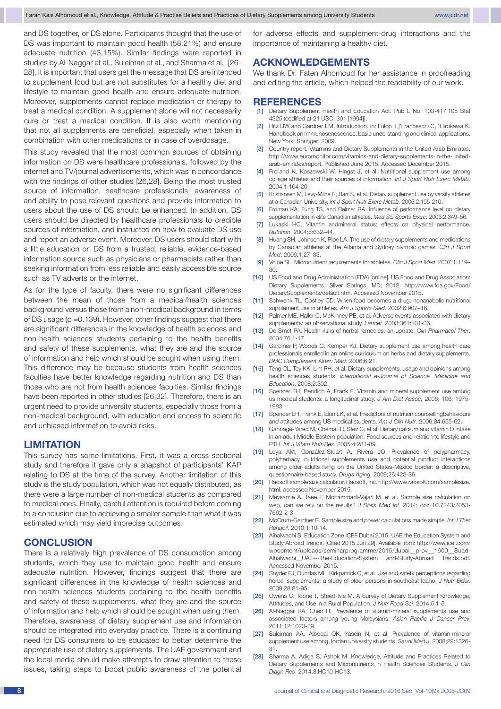and DS together, or DS alone. Participants thought that the use of DS was important to maintain good health (58,21%) and ensure adequate nutrition (43,15%). Similar findings were reported in studies by Al-Naggar et al., Suleiman et al., and Sharma et al., [26- 28]. It is important that users get the message that DS are intended to supplement food but are not substitutes for a healthy diet and lifestyle to maintain good health and ensure adequate nutrition. Moreover, supplements cannot replace medication or therapy to treat a medical condition. A supplement alone will not necessarily cure or treat a medical condition. It is also worth mentioning that not all supplements are beneficial, especially when taken in combination with other medications or in case of overdosage.

This study revealed that the most common sources of obtaining information on DS were healthcare professionals, followed by the internet and TV/journal advertisements, which was in concordance with the findings of other studies [26,28]. Being the most trusted source of information, healthcare professionals' awareness of and ability to pose relevant questions and provide information to users about the use of DS should be enhanced. In addition, DS users should be directed by healthcare professionals to credible sources of information, and instructed on how to evaluate DS use and report an adverse event. Moreover, DS users should start with a little education on DS from a trusted, reliable, evidence-based information source such as physicians or pharmacists rather than seeking information from less reliable and easily accessible source such as TV adverts or the internet.

As for the type of faculty, there were no significant differences between the mean of those from a medical/health sciences background versus those from a non-medical background in terms of DS usage (p =0.139). However, other findings suggest that there are significant differences in the knowledge of health sciences and non-health sciences students pertaining to the health benefits and safety of these supplements, what they are and the source of information and help which should be sought when using them. This difference may be because students from health sciences faculties have better knowledge regarding nutrition and DS than those who are not from health sciences faculties. Similar findings have been reported in other studies [26,32]. Therefore, there is an urgent need to provide university students, especially those from a non-medical background, with education and access to scientific and unbiased information to avoid risks.

## **Limitation**

This survey has some limitations. First, it was a cross-sectional study and therefore it gave only a snapshot of participants' KAP relating to DS at the time of the survey. Another limitation of this study is the study population, which was not equally distributed, as there were a large number of non-medical students as compared to medical ones. Finally, careful attention is required before coming to a conclusion due to achieving a smaller sample than what it was estimated which may yield imprecise outcomes.

## **Conclusion**

There is a relatively high prevalence of DS consumption among students, which they use to maintain good health and ensure adequate nutrition. However, findings suggest that there are significant differences in the knowledge of health sciences and non-health sciences students pertaining to the health benefits and safety of these supplements, what they are and the source of information and help which should be sought when using them. Therefore, awareness of dietary supplement use and information should be integrated into everyday practice. There is a continuing need for DS consumers to be educated to better determine the appropriate use of dietary supplements. The UAE government and the local media should make attempts to draw attention to these issues, taking steps to boost public awareness of the potential for adverse effects and supplement-drug interactions and the importance of maintaining a healthy diet.

# **Acknowledgements**

We thank Dr. Faten Alhomoud for her assistance in proofreading and editing the article, which helped the readability of our work.

## **References**

- [1] Dietary Supplement Health and Education Act. Pub L No. 103-417,108 Stat 4325 (codified at 21 USC: 301 [1994]).
- [2] Ritz BW and Gardner EM. Introduction. In: Fulop T, *i* Franceschi C. *i* Hirokawa K. Handbook on Immunosenescence: basic understanding and clinical applications. New York: Springer; 2009.
- [3] Country report. Vitamins and Dietary Supplements in the United Arab Emirates. http://www.euromonitor.com/vitamins-and-dietary-supplements-in-the-unitedarab-emirates/report. Published June 2015. Accessed December 2015.
- [4] Froiland K, Koszewski W, Hingst J, et al. Nutritional supplement use among college athletes and their sources of information. *Int J Sport Nutr Exerc Metab*. 2004;1:104-20.
- [5] Kristiansen M, Levy-Milne R, Barr S, et al. Dietary supplement use by varsity athletes at a Canadian University. *Int J Sport Nutr Exerc Metab.* 2005;2:195-210.
- [6] Erdman KA, Fung TS, and Reimer RA. Influence of performance level on dietary supplementation in elite Canadian athletes. *Med Sci Sports Exerc*. 2006;2:349–56.
- [7] Lukaski HC. Vitamin andmineral status: effects on physical performance. *Nutrition*. 2004;8:632–44.
- [8] Huang SH, Johnson K, Pipe LA. The use of dietary supplements and medications by Canadian athletes at the Atlanta and Sydney olympic games. *Clin J Sport Med*. 2006;1:27–33.
- [9] Volpe SL. Micronutrient requirements for athletes. *Clin J Sport Med*. 2007;1:119– 30.
- [10] US Food and Drug Administration (FDA) [online]. US Food and Drug Association: Dietary Supplements. Silver Springs, MD; 2012. http://www.fda.gov/Food/ DietarySupplements/default.htm. Accessed November 2015.
- [11] Schwenk TL, Costley CD. When food becomes a drug: nonanabolic nutritional supplement use in athletes. *Am J Sports Med*. 2002;6:907–16.
- [12] Palmer ME, Haller C, McKinney PE, et al. Adverse events associated with dietary supplements: an observational study. *Lancet*. 2003;361:101-06.
- [13] De Smet PA. Health risks of herbal remedies: an update. *Clin Pharmacol Ther*. 2004;76:1-17.
- [14] Gardiner P, Woods C, Kemper KJ. Dietary supplement use among health care professionals enrolled in an online curriculum on herbs and dietary supplements. *BMC Complement Altern Med*. 2006;6:21.
- [15] Teng CL, Tey KK, Lim PH, et al. Dietary supplements: usage and opinions among health sciences students. *International e-Journal of Science, Medicine and Education*. 2008;2:302.
- [16] Spencer EH, Bendich A, Frank E. Vitamin and mineral supplement use among us medical students: a longitudinal study. *J Am Diet Assoc,* 2006; 106: 1975- 1983.
- [17] Spencer EH, Frank E, Elon LK, et al. Predictors of nutrition counsellingbehaviours and attitudes among US medical students. *Am J Clin Nutr*. 2006;84:655-62.
- [18] Gannagé-Yared M, Chemali R, Sfeir C, et al. Dietary calcium and vitamin D intake in an adult Middle Eastern population: Food sources and relation to lifestyle and PTH. *Int J Vitam Nutr Res*. 2005;4:281-89.
- [19] Loya AM, González-Stuart A, Rivera JO, Prevalence of polypharmacy, polyherbacy, nutritional supplements use and potential product interactions among older adults living on the United States-Mexico border: a descriptive, questionnaire-based study. *Drugs Aging*. 2009;26:423-36.
- [20] Raosoft sample size calculator. Raosoft, Inc. http://www.raosoft.com/samplesize. html. accessed November 2015.
- [21] Meysamie A, Taee F, Mohammadi-Vajari M, et al. Sample size calculation on web, can we rely on the results? *J Stats Med Inf.* 2014; doi: 10.7243/2053- 7662-2-3.
- [22] McCrum-Gardner E. Sample size and power calculations made simple. *Int J Ther Rehabil*. 2010;1:10-14.
- [23] Alhalwachi S. Education Zone ICEF Dubai 2015. UAE the Education System and Study Abroad Trends. [Cited 2015 Jun 29]. Available from: http://www.icef.com/ wpcontent/uploads/seminarprogramme/2015/dubai\_\_prov\_\_1600\_\_Suad-Alhalwachi\_UAE---The-Education-System and-Study-Abroad Trends.pdf. Accessed November 2015.
- [24] Snyder FJ, Dundas ML, Kirkpatrick C, et al. Use and safety perceptions regarding herbal supplements: a study of older persons in southeast Idaho. *J Nutr Elder.* 2009;28:81-95.
- [25] Owens C, Toone T, Steed-Ivie M, A Survey of Dietary Supplement Knowledge, Attitudes, and Use in a Rural Population. *J Nutr Food Sci*. 2014;5:1-5.
- [26] Al-Naggar RA, Chen R. Prevalence of vitamin-mineral supplements use and associated factors among young Malaysians. *Asian Pacific J Cancer Prev.* 2011;12:1023-29.
- [27] Suleiman AA, Albogai OK, Yasein N, et al. Prevalence of vitamin-mineral supplement use among Jordan university students. *Saudi Med J*. 2008;29:1326- 31.
- [28] Sharma A, Adiga S, Ashok M. Knowledge, Attitude and Practices Related to Dietary Supplements and Micronutrients in Health Sciences Students. *J Clin Diagn Res*. 2014;8:HC10-HC13.